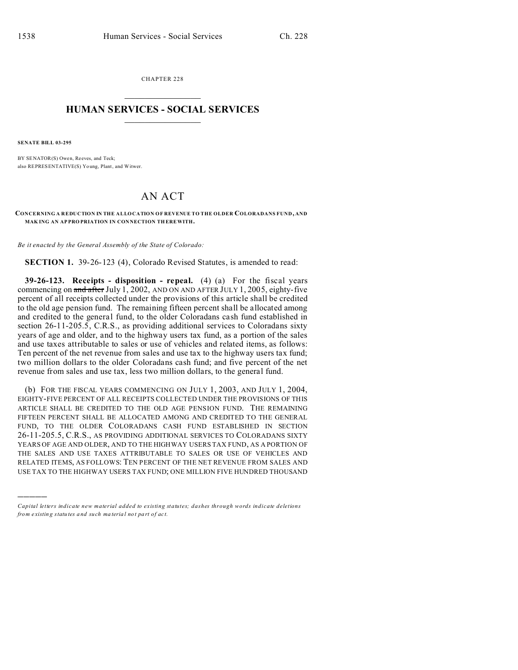CHAPTER 228  $\overline{\phantom{a}}$  , where  $\overline{\phantom{a}}$ 

## **HUMAN SERVICES - SOCIAL SERVICES**  $\frac{1}{2}$  ,  $\frac{1}{2}$  ,  $\frac{1}{2}$  ,  $\frac{1}{2}$  ,  $\frac{1}{2}$  ,  $\frac{1}{2}$

**SENATE BILL 03-295**

)))))

BY SENATOR(S) Owen, Reeves, and Teck; also REPRESENTATIVE(S) Yo ung, Plant, and Witwer.

## AN ACT

**CONCERNING A REDUCTION IN THE ALLOCATION OF REVENUE TO THE OLDER COLORADANS FUND , AND MAKING AN APPROPRIATION IN CONNECTION THEREWITH.** 

*Be it enacted by the General Assembly of the State of Colorado:*

**SECTION 1.** 39-26-123 (4), Colorado Revised Statutes, is amended to read:

**39-26-123. Receipts - disposition - repeal.** (4) (a) For the fiscal years commencing on  $\frac{\text{and after July 1, 2002}}{\text{AND ON AND AFTER JULY 1, 2005}}$ , eighty-five percent of all receipts collected under the provisions of this article shall be credited to the old age pension fund. The remaining fifteen percent shall be allocated among and credited to the general fund, to the older Coloradans cash fund established in section 26-11-205.5, C.R.S., as providing additional services to Coloradans sixty years of age and older, and to the highway users tax fund, as a portion of the sales and use taxes attributable to sales or use of vehicles and related items, as follows: Ten percent of the net revenue from sales and use tax to the highway users tax fund; two million dollars to the older Coloradans cash fund; and five percent of the net revenue from sales and use tax, less two million dollars, to the general fund.

(b) FOR THE FISCAL YEARS COMMENCING ON JULY 1, 2003, AND JULY 1, 2004, EIGHTY-FIVE PERCENT OF ALL RECEIPTS COLLECTED UNDER THE PROVISIONS OF THIS ARTICLE SHALL BE CREDITED TO THE OLD AGE PENSION FUND. THE REMAINING FIFTEEN PERCENT SHALL BE ALLOCATED AMONG AND CREDITED TO THE GENERAL FUND, TO THE OLDER COLORADANS CASH FUND ESTABLISHED IN SECTION 26-11-205.5, C.R.S., AS PROVIDING ADDITIONAL SERVICES TO COLORADANS SIXTY YEARS OF AGE AND OLDER, AND TO THE HIGHWAY USERS TAX FUND, AS A PORTION OF THE SALES AND USE TAXES ATTRIBUTABLE TO SALES OR USE OF VEHICLES AND RELATED ITEMS, AS FOLLOWS: TEN PERCENT OF THE NET REVENUE FROM SALES AND USE TAX TO THE HIGHWAY USERS TAX FUND; ONE MILLION FIVE HUNDRED THOUSAND

*Capital letters indicate new material added to existing statutes; dashes through words indicate deletions from e xistin g statu tes a nd such ma teria l no t pa rt of ac t.*